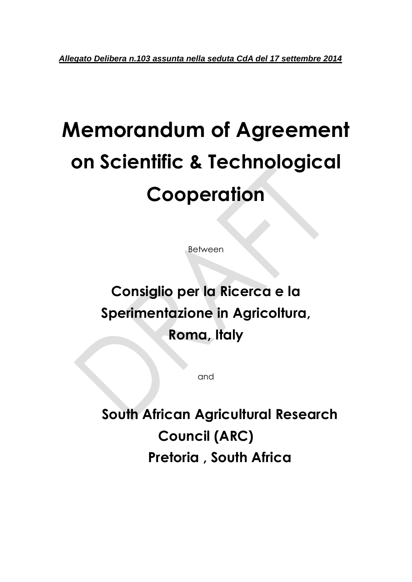# **Memorandum of Agreement on Scientific & Technological Cooperation**

Between

# **Consiglio per la Ricerca e la Sperimentazione in Agricoltura, Roma, Italy**

and

**South African Agricultural Research Council (ARC) Pretoria , South Africa**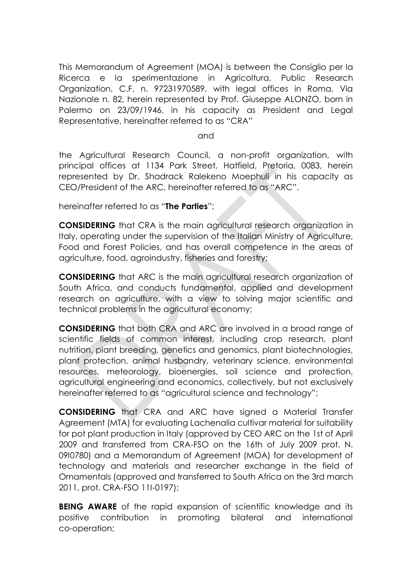This Memorandum of Agreement (MOA) is between the Consiglio per la Ricerca e la sperimentazione in Agricoltura, Public Research Organization, C.F. n. 97231970589, with legal offices in Roma, Via Nazionale n. 82, herein represented by Prof. Giuseppe ALONZO, born in Palermo on 23/09/1946, in his capacity as President and Legal Representative, hereinafter referred to as "CRA"

and

the Agricultural Research Council, a non-profit organization, with principal offices at 1134 Park Street, Hatfield, Pretoria, 0083, herein represented by Dr. Shadrack Ralekeno Moephuli in his capacity as CEO/President of the ARC, hereinafter referred to as "ARC".

hereinafter referred to as "**The Parties**";

**CONSIDERING** that CRA is the main agricultural research organization in Italy, operating under the supervision of the Italian Ministry of Agriculture, Food and Forest Policies, and has overall competence in the areas of agriculture, food, agroindustry, fisheries and forestry;

**CONSIDERING** that ARC is the main agricultural research organization of South Africa, and conducts fundamental, applied and development research on agriculture, with a view to solving major scientific and technical problems in the agricultural economy;

**CONSIDERING** that both CRA and ARC are involved in a broad range of scientific fields of common interest, including crop research, plant nutrition, plant breeding, genetics and genomics, plant biotechnologies, plant protection, animal husbandry, veterinary science, environmental resources, meteorology, bioenergies, soil science and protection, agricultural engineering and economics, collectively, but not exclusively hereinafter referred to as "agricultural science and technology";

**CONSIDERING** that CRA and ARC have signed a Material Transfer Agreement (MTA) for evaluating Lachenalia cultivar material for suitability for pot plant production in Italy (approved by CEO ARC on the 1st of April 2009 and transferred from CRA-FSO on the 16th of July 2009 prot. N. 09I0780) and a Memorandum of Agreement (MOA) for development of technology and materials and researcher exchange in the field of Ornamentals (approved and transferred to South Africa on the 3rd march 2011, prot. CRA-FSO 11I-0197);

**BEING AWARE** of the rapid expansion of scientific knowledge and its positive contribution in promoting bilateral and international co-operation;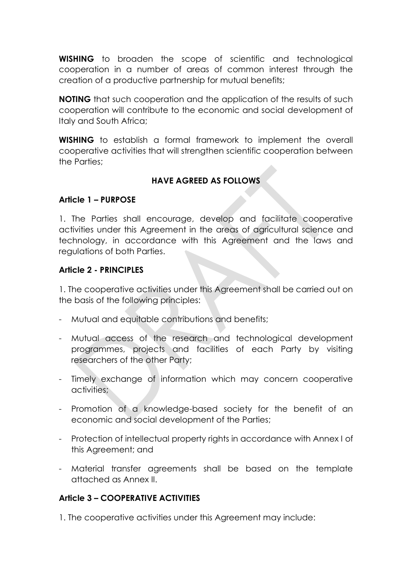**WISHING** to broaden the scope of scientific and technological cooperation in a number of areas of common interest through the creation of a productive partnership for mutual benefits;

**NOTING** that such cooperation and the application of the results of such cooperation will contribute to the economic and social development of Italy and South Africa;

**WISHING** to establish a formal framework to implement the overall cooperative activities that will strengthen scientific cooperation between the Parties;

#### **HAVE AGREED AS FOLLOWS**

#### **Article 1 – PURPOSE**

1. The Parties shall encourage, develop and facilitate cooperative activities under this Agreement in the areas of agricultural science and technology, in accordance with this Agreement and the laws and regulations of both Parties.

#### **Article 2 - PRINCIPLES**

1. The cooperative activities under this Agreement shall be carried out on the basis of the following principles:

- Mutual and equitable contributions and benefits;
- Mutual access of the research and technological development programmes, projects and facilities of each Party by visiting researchers of the other Party;
- Timely exchange of information which may concern cooperative activities;
- Promotion of a knowledge-based society for the benefit of an economic and social development of the Parties;
- Protection of intellectual property rights in accordance with Annex I of this Agreement; and
- Material transfer agreements shall be based on the template attached as Annex II.

#### **Article 3 – COOPERATIVE ACTIVITIES**

1. The cooperative activities under this Agreement may include: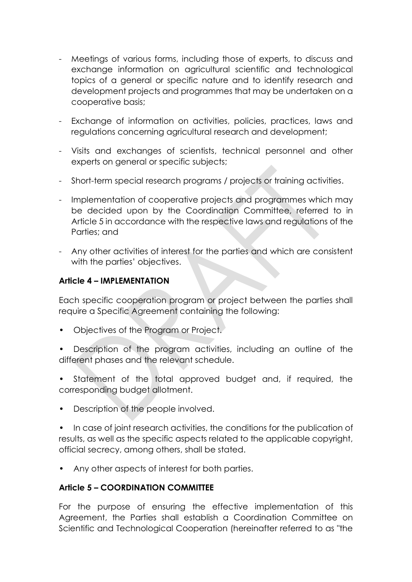- Meetings of various forms, including those of experts, to discuss and exchange information on agricultural scientific and technological topics of a general or specific nature and to identify research and development projects and programmes that may be undertaken on a cooperative basis;
- Exchange of information on activities, policies, practices, laws and regulations concerning agricultural research and development;
- Visits and exchanges of scientists, technical personnel and other experts on general or specific subjects;
- Short-term special research programs / projects or training activities.
- Implementation of cooperative projects and programmes which may be decided upon by the Coordination Committee, referred to in Article 5 in accordance with the respective laws and regulations of the Parties; and
- Any other activities of interest for the parties and which are consistent with the parties' objectives.

#### **Article 4 – IMPLEMENTATION**

Each specific cooperation program or project between the parties shall require a Specific Agreement containing the following:

- Objectives of the Program or Project.
- Description of the program activities, including an outline of the different phases and the relevant schedule.
- Statement of the total approved budget and, if required, the corresponding budget allotment.
- Description of the people involved.

• In case of joint research activities, the conditions for the publication of results, as well as the specific aspects related to the applicable copyright, official secrecy, among others, shall be stated.

• Any other aspects of interest for both parties.

#### **Article 5 – COORDINATION COMMITTEE**

For the purpose of ensuring the effective implementation of this Agreement, the Parties shall establish a Coordination Committee on Scientific and Technological Cooperation (hereinafter referred to as "the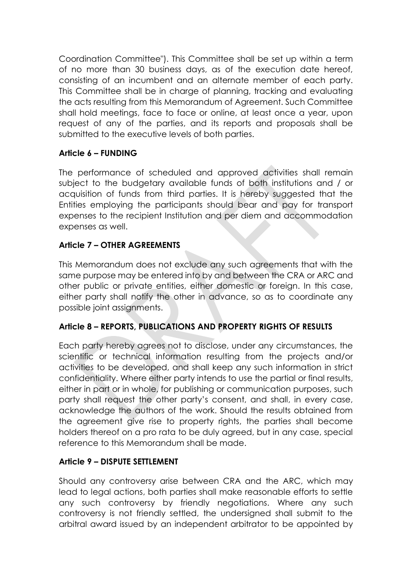Coordination Committee"). This Committee shall be set up within a term of no more than 30 business days, as of the execution date hereof, consisting of an incumbent and an alternate member of each party. This Committee shall be in charge of planning, tracking and evaluating the acts resulting from this Memorandum of Agreement. Such Committee shall hold meetings, face to face or online, at least once a year, upon request of any of the parties, and its reports and proposals shall be submitted to the executive levels of both parties.

#### **Article 6 – FUNDING**

The performance of scheduled and approved activities shall remain subject to the budgetary available funds of both institutions and / or acquisition of funds from third parties. It is hereby suggested that the Entities employing the participants should bear and pay for transport expenses to the recipient Institution and per diem and accommodation expenses as well.

#### **Article 7 – OTHER AGREEMENTS**

This Memorandum does not exclude any such agreements that with the same purpose may be entered into by and between the CRA or ARC and other public or private entities, either domestic or foreign. In this case, either party shall notify the other in advance, so as to coordinate any possible joint assignments.

#### **Article 8 – REPORTS, PUBLICATIONS AND PROPERTY RIGHTS OF RESULTS**

Each party hereby agrees not to disclose, under any circumstances, the scientific or technical information resulting from the projects and/or activities to be developed, and shall keep any such information in strict confidentiality. Where either party intends to use the partial or final results, either in part or in whole, for publishing or communication purposes, such party shall request the other party's consent, and shall, in every case, acknowledge the authors of the work. Should the results obtained from the agreement give rise to property rights, the parties shall become holders thereof on a pro rata to be duly agreed, but in any case, special reference to this Memorandum shall be made.

#### **Article 9 – DISPUTE SETTLEMENT**

Should any controversy arise between CRA and the ARC, which may lead to legal actions, both parties shall make reasonable efforts to settle any such controversy by friendly negotiations. Where any such controversy is not friendly settled, the undersigned shall submit to the arbitral award issued by an independent arbitrator to be appointed by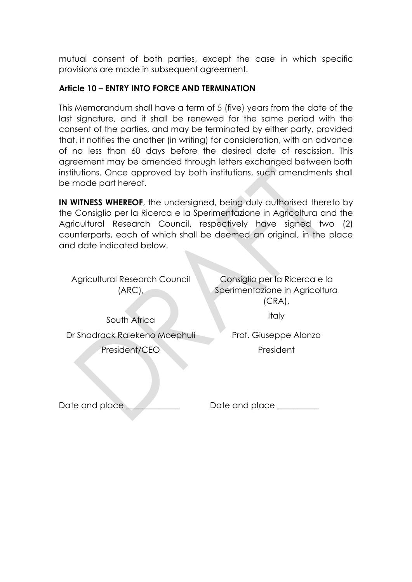mutual consent of both parties, except the case in which specific provisions are made in subsequent agreement.

#### **Article 10 – ENTRY INTO FORCE AND TERMINATION**

This Memorandum shall have a term of 5 (five) years from the date of the last signature, and it shall be renewed for the same period with the consent of the parties, and may be terminated by either party, provided that, it notifies the another (in writing) for consideration, with an advance of no less than 60 days before the desired date of rescission. This agreement may be amended through letters exchanged between both institutions. Once approved by both institutions, such amendments shall be made part hereof.

**IN WITNESS WHEREOF**, the undersigned, being duly authorised thereto by the Consiglio per la Ricerca e la Sperimentazione in Agricoltura and the Agricultural Research Council, respectively have signed two (2) counterparts, each of which shall be deemed an original, in the place and date indicated below.

Agricultural Research Council  $(ARC)$ 

Consiglio per la Ricerca e la Sperimentazione in Agricoltura (CRA),

South Africa Dr Shadrack Ralekeno Moephuli President/CEO

**Italy** 

Prof. Giuseppe Alonzo President

Date and place

Date and place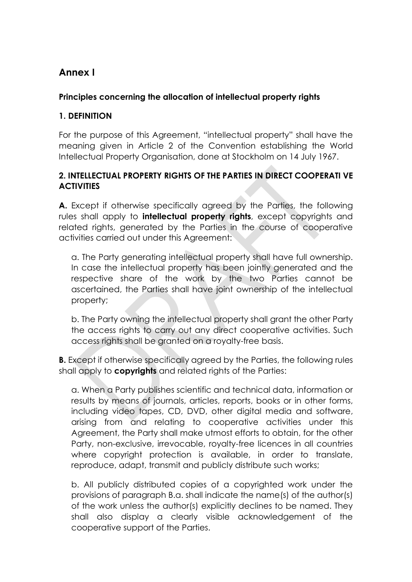## **Annex I**

#### **Principles concerning the allocation of intellectual property rights**

#### **1. DEFINITION**

For the purpose of this Agreement, "intellectual property" shall have the meaning given in Article 2 of the Convention establishing the World Intellectual Property Organisation, done at Stockholm on 14 July 1967.

#### **2. INTELLECTUAL PROPERTY RIGHTS OF THE PARTIES IN DIRECT COOPERATI VE ACTIVITIES**

**A.** Except if otherwise specifically agreed by the Parties, the following rules shall apply to **intellectual property rights**, except copyrights and related rights, generated by the Parties in the course of cooperative activities carried out under this Agreement:

a. The Party generating intellectual property shall have full ownership. In case the intellectual property has been jointly generated and the respective share of the work by the two Parties cannot be ascertained, the Parties shall have joint ownership of the intellectual property;

b. The Party owning the intellectual property shall grant the other Party the access rights to carry out any direct cooperative activities. Such access rights shall be granted on a royalty-free basis.

**B.** Except if otherwise specifically agreed by the Parties, the following rules shall apply to **copyrights** and related rights of the Parties:

a. When a Party publishes scientific and technical data, information or results by means of journals, articles, reports, books or in other forms, including video tapes, CD, DVD, other digital media and software, arising from and relating to cooperative activities under this Agreement, the Party shall make utmost efforts to obtain, for the other Party, non-exclusive, irrevocable, royalty-free licences in all countries where copyright protection is available, in order to translate, reproduce, adapt, transmit and publicly distribute such works;

b. All publicly distributed copies of a copyrighted work under the provisions of paragraph B.a. shall indicate the name(s) of the author(s) of the work unless the author(s) explicitly declines to be named. They shall also display a clearly visible acknowledgement of the cooperative support of the Parties.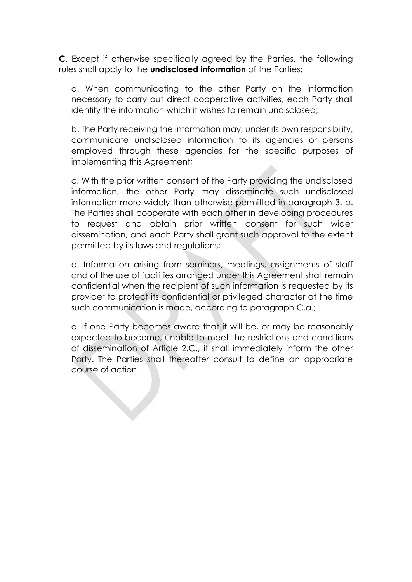**C.** Except if otherwise specifically agreed by the Parties, the following rules shall apply to the **undisclosed information** of the Parties:

a. When communicating to the other Party on the information necessary to carry out direct cooperative activities, each Party shall identify the information which it wishes to remain undisclosed;

b. The Party receiving the information may, under its own responsibility, communicate undisclosed information to its agencies or persons employed through these agencies for the specific purposes of implementing this Agreement;

c. With the prior written consent of the Party providing the undisclosed information, the other Party may disseminate such undisclosed information more widely than otherwise permitted in paragraph 3. b. The Parties shall cooperate with each other in developing procedures to request and obtain prior written consent for such wider dissemination, and each Party shall grant such approval to the extent permitted by its laws and regulations;

d. Information arising from seminars, meetings, assignments of staff and of the use of facilities arranged under this Agreement shall remain confidential when the recipient of such information is requested by its provider to protect its confidential or privileged character at the time such communication is made, according to paragraph C.a.;

e. If one Party becomes aware that it will be, or may be reasonably expected to become, unable to meet the restrictions and conditions of dissemination of Article 2.C., it shall immediately inform the other Party. The Parties shall thereafter consult to define an appropriate course of action.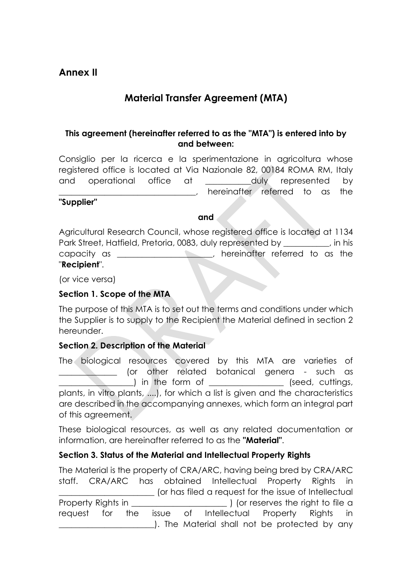## **Material Transfer Agreement (MTA)**

#### **This agreement (hereinafter referred to as the "MTA") is entered into by and between:**

Consiglio per la ricerca e la sperimentazione in agricoltura whose registered office is located at Via Nazionale 82, 00184 ROMA RM, Italy and operational office at \_\_\_\_\_\_\_\_\_\_\_duly represented by hereinafter referred to as the

#### **"Supplier"**

#### **and**

Agricultural Research Council, whose registered office is located at 1134 Park Street, Hatfield, Pretoria, 0083, duly represented by  $\qquad \qquad$ , in his capacity as \_\_\_\_\_\_\_\_\_\_\_\_\_\_\_\_\_\_\_\_\_\_\_, hereinafter referred to as the "**Recipient**".

(or vice versa)

#### **Section 1. Scope of the MTA**

The purpose of this MTA is to set out the terms and conditions under which the Supplier is to supply to the Recipient the Material defined in section 2 hereunder.

#### **Section 2. Description of the Material**

The biological resources covered by this MTA are varieties of \_\_\_\_\_\_\_\_\_\_\_\_\_\_ (or other related botanical genera - such as ) in the form of  $\Box$  (seed, cuttings, plants, in vitro plants, ....), for which a list is given and the characteristics are described in the accompanying annexes, which form an integral part of this agreement.

These biological resources, as well as any related documentation or information, are hereinafter referred to as the **"Material"**.

#### **Section 3. Status of the Material and Intellectual Property Rights**

The Material is the property of CRA/ARC, having being bred by CRA/ARC staff. CRA/ARC has obtained Intellectual Property Rights in \_\_\_\_\_\_\_\_\_\_\_\_\_\_\_\_\_\_\_\_\_\_\_ (or has filed a request for the issue of Intellectual Property Rights in Theorem 2012 (or reserves the right to file a request for the issue of Intellectual Property Rights in \_\_\_\_\_\_\_\_\_\_\_\_\_\_\_\_\_\_\_\_\_\_\_). The Material shall not be protected by any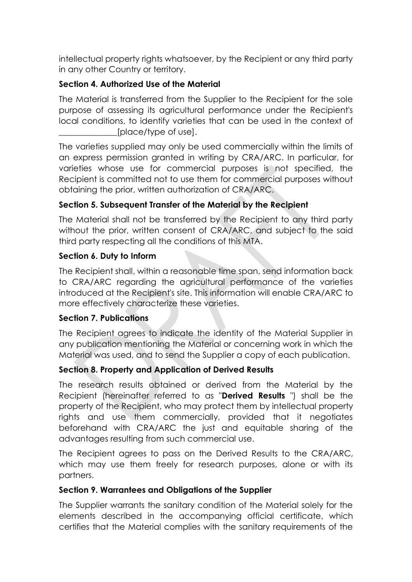intellectual property rights whatsoever, by the Recipient or any third party in any other Country or territory.

#### **Section 4. Authorized Use of the Material**

The Material is transferred from the Supplier to the Recipient for the sole purpose of assessing its agricultural performance under the Recipient's local conditions, to identify varieties that can be used in the context of [place/type of use].

The varieties supplied may only be used commercially within the limits of an express permission granted in writing by CRA/ARC. In particular, for varieties whose use for commercial purposes is not specified, the Recipient is committed not to use them for commercial purposes without obtaining the prior, written authorization of CRA/ARC.

#### **Section 5. Subsequent Transfer of the Material by the Recipient**

The Material shall not be transferred by the Recipient to any third party without the prior, written consent of CRA/ARC, and subject to the said third party respecting all the conditions of this MTA.

#### **Section 6. Duty to Inform**

The Recipient shall, within a reasonable time span, send information back to CRA/ARC regarding the agricultural performance of the varieties introduced at the Recipient's site. This information will enable CRA/ARC to more effectively characterize these varieties.

#### **Section 7. Publications**

The Recipient agrees to indicate the identity of the Material Supplier in any publication mentioning the Material or concerning work in which the Material was used, and to send the Supplier a copy of each publication.

#### **Section 8. Property and Application of Derived Results**

The research results obtained or derived from the Material by the Recipient (hereinafter referred to as "**Derived Results** ") shall be the property of the Recipient, who may protect them by intellectual property rights and use them commercially, provided that it negotiates beforehand with CRA/ARC the just and equitable sharing of the advantages resulting from such commercial use.

The Recipient agrees to pass on the Derived Results to the CRA/ARC, which may use them freely for research purposes, alone or with its partners.

#### **Section 9. Warrantees and Obligations of the Supplier**

The Supplier warrants the sanitary condition of the Material solely for the elements described in the accompanying official certificate, which certifies that the Material complies with the sanitary requirements of the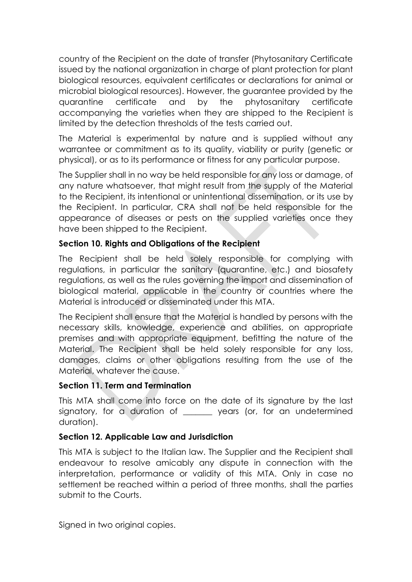country of the Recipient on the date of transfer (Phytosanitary Certificate issued by the national organization in charge of plant protection for plant biological resources, equivalent certificates or declarations for animal or microbial biological resources). However, the guarantee provided by the quarantine certificate and by the phytosanitary certificate accompanying the varieties when they are shipped to the Recipient is limited by the detection thresholds of the tests carried out.

The Material is experimental by nature and is supplied without any warrantee or commitment as to its quality, viability or purity (genetic or physical), or as to its performance or fitness for any particular purpose.

The Supplier shall in no way be held responsible for any loss or damage, of any nature whatsoever, that might result from the supply of the Material to the Recipient, its intentional or unintentional dissemination, or its use by the Recipient. In particular, CRA shall not be held responsible for the appearance of diseases or pests on the supplied varieties once they have been shipped to the Recipient.

#### **Section 10. Rights and Obligations of the Recipient**

The Recipient shall be held solely responsible for complying with regulations, in particular the sanitary (quarantine, etc.) and biosafety regulations, as well as the rules governing the import and dissemination of biological material, applicable in the country or countries where the Material is introduced or disseminated under this MTA.

The Recipient shall ensure that the Material is handled by persons with the necessary skills, knowledge, experience and abilities, on appropriate premises and with appropriate equipment, befitting the nature of the Material. The Recipient shall be held solely responsible for any loss, damages, claims or other obligations resulting from the use of the Material, whatever the cause.

#### **Section 11. Term and Termination**

This MTA shall come into force on the date of its signature by the last signatory, for a duration of \_\_\_\_\_\_\_ years (or, for an undetermined duration).

#### **Section 12. Applicable Law and Jurisdiction**

This MTA is subject to the Italian law. The Supplier and the Recipient shall endeavour to resolve amicably any dispute in connection with the interpretation, performance or validity of this MTA. Only in case no settlement be reached within a period of three months, shall the parties submit to the Courts.

Signed in two original copies.